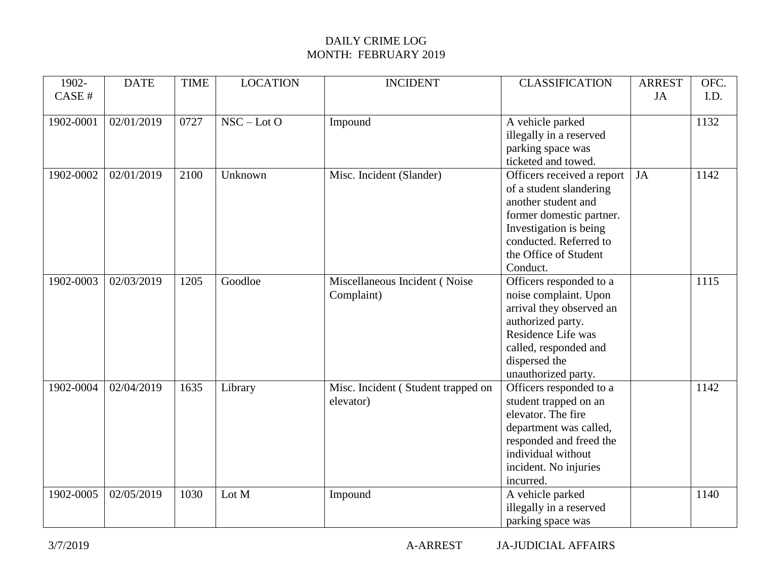| 1902-     | <b>DATE</b> | <b>TIME</b> | <b>LOCATION</b> | <b>INCIDENT</b>                    | <b>CLASSIFICATION</b>                                 | <b>ARREST</b> | OFC. |
|-----------|-------------|-------------|-----------------|------------------------------------|-------------------------------------------------------|---------------|------|
| CASE #    |             |             |                 |                                    |                                                       | JA            | I.D. |
|           |             |             |                 |                                    |                                                       |               |      |
| 1902-0001 | 02/01/2019  | 0727        | $NSC - LotO$    | Impound                            | A vehicle parked                                      |               | 1132 |
|           |             |             |                 |                                    | illegally in a reserved                               |               |      |
|           |             |             |                 |                                    | parking space was<br>ticketed and towed.              |               |      |
| 1902-0002 | 02/01/2019  | 2100        | Unknown         | Misc. Incident (Slander)           |                                                       | JA            | 1142 |
|           |             |             |                 |                                    | Officers received a report<br>of a student slandering |               |      |
|           |             |             |                 |                                    | another student and                                   |               |      |
|           |             |             |                 |                                    | former domestic partner.                              |               |      |
|           |             |             |                 |                                    | Investigation is being                                |               |      |
|           |             |             |                 |                                    | conducted. Referred to                                |               |      |
|           |             |             |                 |                                    | the Office of Student                                 |               |      |
|           |             |             |                 |                                    | Conduct.                                              |               |      |
| 1902-0003 | 02/03/2019  | 1205        | Goodloe         | Miscellaneous Incident (Noise      | Officers responded to a                               |               | 1115 |
|           |             |             |                 | Complaint)                         | noise complaint. Upon                                 |               |      |
|           |             |             |                 |                                    | arrival they observed an                              |               |      |
|           |             |             |                 |                                    | authorized party.                                     |               |      |
|           |             |             |                 |                                    | Residence Life was                                    |               |      |
|           |             |             |                 |                                    | called, responded and                                 |               |      |
|           |             |             |                 |                                    | dispersed the                                         |               |      |
|           |             |             |                 |                                    | unauthorized party.                                   |               |      |
| 1902-0004 | 02/04/2019  | 1635        | Library         | Misc. Incident (Student trapped on | Officers responded to a                               |               | 1142 |
|           |             |             |                 | elevator)                          | student trapped on an                                 |               |      |
|           |             |             |                 |                                    | elevator. The fire                                    |               |      |
|           |             |             |                 |                                    | department was called,                                |               |      |
|           |             |             |                 |                                    | responded and freed the                               |               |      |
|           |             |             |                 |                                    | individual without                                    |               |      |
|           |             |             |                 |                                    | incident. No injuries                                 |               |      |
|           |             |             |                 |                                    | incurred.                                             |               |      |
| 1902-0005 | 02/05/2019  | 1030        | Lot M           | Impound                            | A vehicle parked                                      |               | 1140 |
|           |             |             |                 |                                    | illegally in a reserved                               |               |      |
|           |             |             |                 |                                    | parking space was                                     |               |      |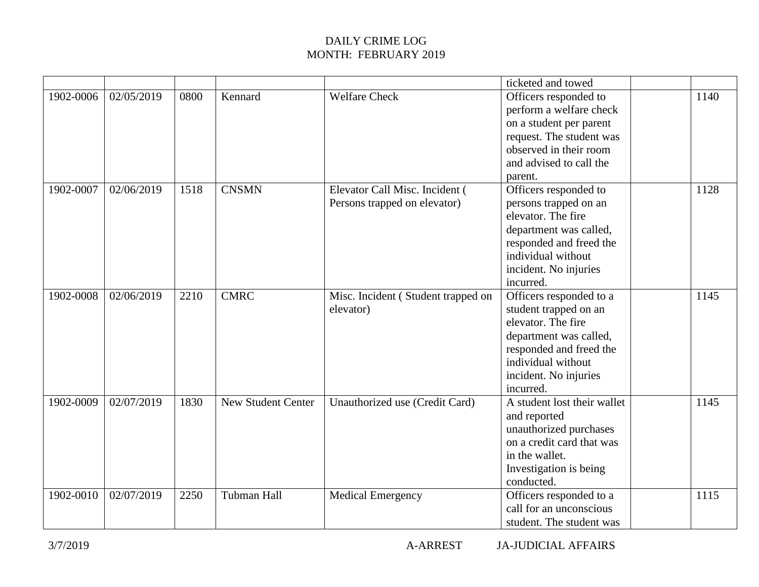|           |            |      |                           |                                    | ticketed and towed                 |      |
|-----------|------------|------|---------------------------|------------------------------------|------------------------------------|------|
| 1902-0006 | 02/05/2019 | 0800 | Kennard                   | <b>Welfare Check</b>               | Officers responded to              | 1140 |
|           |            |      |                           |                                    | perform a welfare check            |      |
|           |            |      |                           |                                    | on a student per parent            |      |
|           |            |      |                           |                                    | request. The student was           |      |
|           |            |      |                           |                                    | observed in their room             |      |
|           |            |      |                           |                                    | and advised to call the            |      |
|           |            |      |                           |                                    | parent.                            |      |
| 1902-0007 | 02/06/2019 | 1518 | <b>CNSMN</b>              | Elevator Call Misc. Incident (     | Officers responded to              | 1128 |
|           |            |      |                           | Persons trapped on elevator)       | persons trapped on an              |      |
|           |            |      |                           |                                    | elevator. The fire                 |      |
|           |            |      |                           |                                    | department was called,             |      |
|           |            |      |                           |                                    | responded and freed the            |      |
|           |            |      |                           |                                    | individual without                 |      |
|           |            |      |                           |                                    | incident. No injuries              |      |
|           |            |      |                           |                                    | incurred.                          |      |
| 1902-0008 | 02/06/2019 | 2210 | <b>CMRC</b>               | Misc. Incident (Student trapped on | Officers responded to a            | 1145 |
|           |            |      |                           | elevator)                          | student trapped on an              |      |
|           |            |      |                           |                                    | elevator. The fire                 |      |
|           |            |      |                           |                                    | department was called,             |      |
|           |            |      |                           |                                    | responded and freed the            |      |
|           |            |      |                           |                                    | individual without                 |      |
|           |            |      |                           |                                    | incident. No injuries<br>incurred. |      |
| 1902-0009 | 02/07/2019 | 1830 | <b>New Student Center</b> |                                    | A student lost their wallet        | 1145 |
|           |            |      |                           | Unauthorized use (Credit Card)     | and reported                       |      |
|           |            |      |                           |                                    | unauthorized purchases             |      |
|           |            |      |                           |                                    | on a credit card that was          |      |
|           |            |      |                           |                                    | in the wallet.                     |      |
|           |            |      |                           |                                    | Investigation is being             |      |
|           |            |      |                           |                                    | conducted.                         |      |
| 1902-0010 | 02/07/2019 | 2250 | Tubman Hall               | <b>Medical Emergency</b>           | Officers responded to a            | 1115 |
|           |            |      |                           |                                    | call for an unconscious            |      |
|           |            |      |                           |                                    | student. The student was           |      |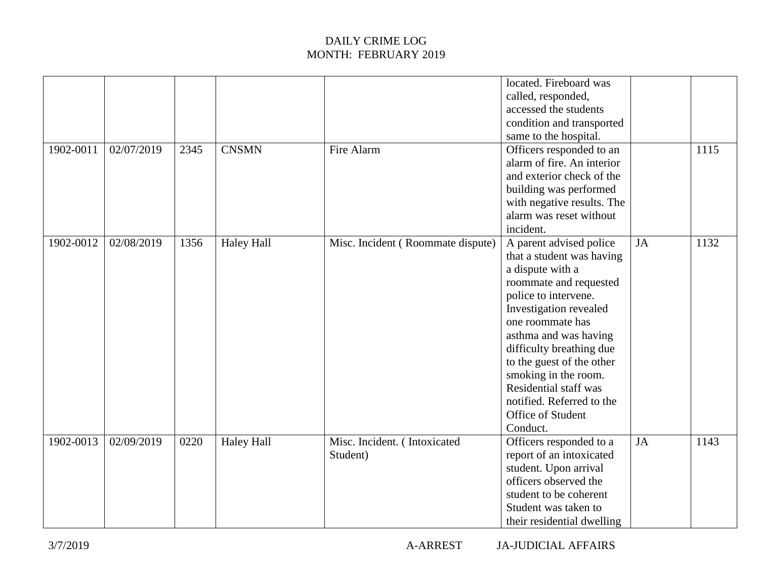| 1902-0011 | 02/07/2019 | 2345 | <b>CNSMN</b>      | Fire Alarm                               | located. Fireboard was<br>called, responded,<br>accessed the students<br>condition and transported<br>same to the hospital.<br>Officers responded to an                                                                                                                                                                                                                          |           | 1115 |
|-----------|------------|------|-------------------|------------------------------------------|----------------------------------------------------------------------------------------------------------------------------------------------------------------------------------------------------------------------------------------------------------------------------------------------------------------------------------------------------------------------------------|-----------|------|
|           |            |      |                   |                                          | alarm of fire. An interior<br>and exterior check of the<br>building was performed<br>with negative results. The<br>alarm was reset without<br>incident.                                                                                                                                                                                                                          |           |      |
| 1902-0012 | 02/08/2019 | 1356 | <b>Haley Hall</b> | Misc. Incident (Roommate dispute)        | A parent advised police<br>that a student was having<br>a dispute with a<br>roommate and requested<br>police to intervene.<br>Investigation revealed<br>one roommate has<br>asthma and was having<br>difficulty breathing due<br>to the guest of the other<br>smoking in the room.<br><b>Residential staff was</b><br>notified. Referred to the<br>Office of Student<br>Conduct. | <b>JA</b> | 1132 |
| 1902-0013 | 02/09/2019 | 0220 | <b>Haley Hall</b> | Misc. Incident. (Intoxicated<br>Student) | Officers responded to a<br>report of an intoxicated<br>student. Upon arrival<br>officers observed the<br>student to be coherent<br>Student was taken to<br>their residential dwelling                                                                                                                                                                                            | <b>JA</b> | 1143 |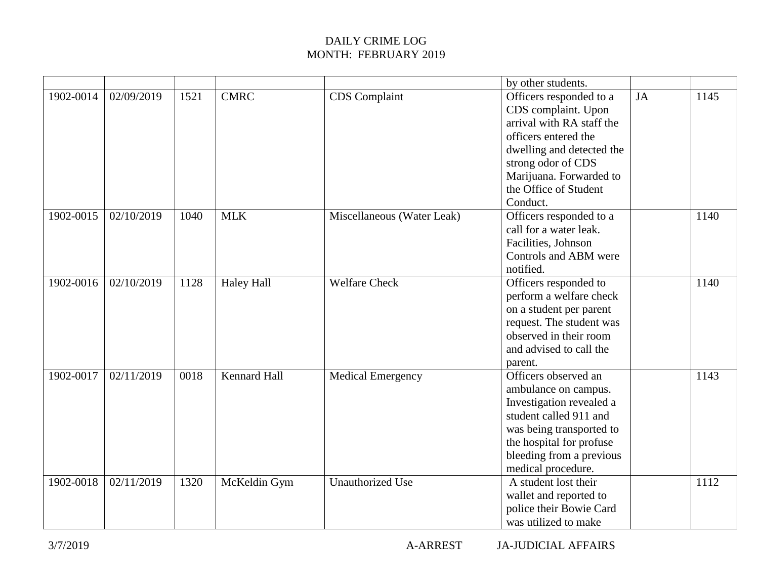|           |            |      |                     |                            | by other students.                                                                                                                                                                                                     |    |      |
|-----------|------------|------|---------------------|----------------------------|------------------------------------------------------------------------------------------------------------------------------------------------------------------------------------------------------------------------|----|------|
| 1902-0014 | 02/09/2019 | 1521 | <b>CMRC</b>         | <b>CDS</b> Complaint       | Officers responded to a<br>CDS complaint. Upon<br>arrival with RA staff the<br>officers entered the<br>dwelling and detected the<br>strong odor of CDS<br>Marijuana. Forwarded to<br>the Office of Student<br>Conduct. | JA | 1145 |
| 1902-0015 | 02/10/2019 | 1040 | <b>MLK</b>          | Miscellaneous (Water Leak) | Officers responded to a<br>call for a water leak.<br>Facilities, Johnson<br>Controls and ABM were<br>notified.                                                                                                         |    | 1140 |
| 1902-0016 | 02/10/2019 | 1128 | <b>Haley Hall</b>   | <b>Welfare Check</b>       | Officers responded to<br>perform a welfare check<br>on a student per parent<br>request. The student was<br>observed in their room<br>and advised to call the<br>parent.                                                |    | 1140 |
| 1902-0017 | 02/11/2019 | 0018 | <b>Kennard Hall</b> | <b>Medical Emergency</b>   | Officers observed an<br>ambulance on campus.<br>Investigation revealed a<br>student called 911 and<br>was being transported to<br>the hospital for profuse<br>bleeding from a previous<br>medical procedure.           |    | 1143 |
| 1902-0018 | 02/11/2019 | 1320 | McKeldin Gym        | <b>Unauthorized Use</b>    | A student lost their<br>wallet and reported to<br>police their Bowie Card<br>was utilized to make                                                                                                                      |    | 1112 |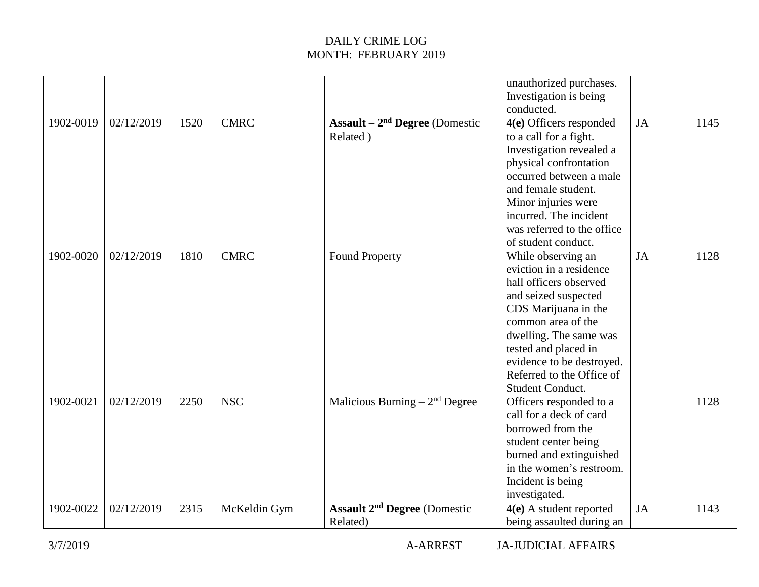|           |            |      |              |                                                            | unauthorized purchases.<br>Investigation is being<br>conducted.                                                                                                                                                                                                               |           |      |
|-----------|------------|------|--------------|------------------------------------------------------------|-------------------------------------------------------------------------------------------------------------------------------------------------------------------------------------------------------------------------------------------------------------------------------|-----------|------|
| 1902-0019 | 02/12/2019 | 1520 | <b>CMRC</b>  | Assault $-2nd$ Degree (Domestic<br>Related)                | 4(e) Officers responded<br>to a call for a fight.<br>Investigation revealed a<br>physical confrontation<br>occurred between a male<br>and female student.<br>Minor injuries were<br>incurred. The incident<br>was referred to the office<br>of student conduct.               | <b>JA</b> | 1145 |
| 1902-0020 | 02/12/2019 | 1810 | <b>CMRC</b>  | <b>Found Property</b>                                      | While observing an<br>eviction in a residence<br>hall officers observed<br>and seized suspected<br>CDS Marijuana in the<br>common area of the<br>dwelling. The same was<br>tested and placed in<br>evidence to be destroyed.<br>Referred to the Office of<br>Student Conduct. | JA        | 1128 |
| 1902-0021 | 02/12/2019 | 2250 | <b>NSC</b>   | Malicious Burning $-2nd$ Degree                            | Officers responded to a<br>call for a deck of card<br>borrowed from the<br>student center being<br>burned and extinguished<br>in the women's restroom.<br>Incident is being<br>investigated.                                                                                  |           | 1128 |
| 1902-0022 | 02/12/2019 | 2315 | McKeldin Gym | <b>Assault 2<sup>nd</sup> Degree</b> (Domestic<br>Related) | 4(e) A student reported<br>being assaulted during an                                                                                                                                                                                                                          | JA        | 1143 |

3/7/2019 A-ARREST JA-JUDICIAL AFFAIRS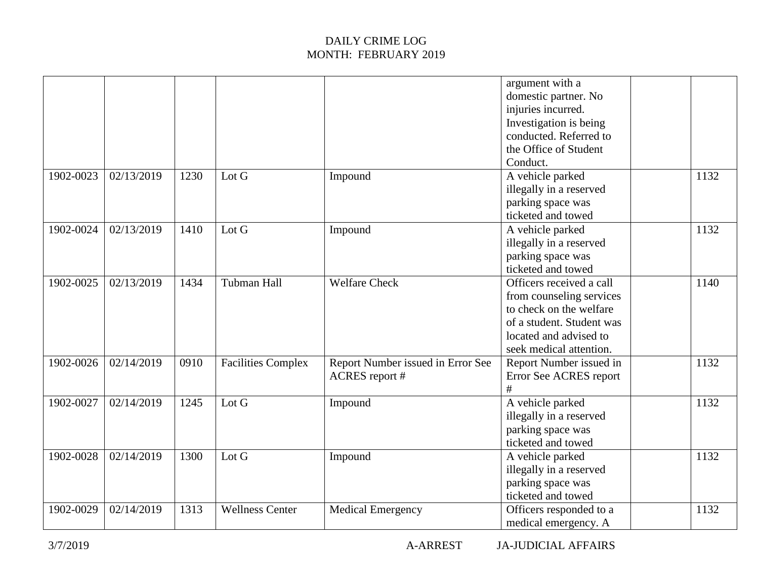|           |            |      |                           |                                                            | argument with a<br>domestic partner. No<br>injuries incurred.<br>Investigation is being<br>conducted. Referred to<br>the Office of Student<br>Conduct.            |      |
|-----------|------------|------|---------------------------|------------------------------------------------------------|-------------------------------------------------------------------------------------------------------------------------------------------------------------------|------|
| 1902-0023 | 02/13/2019 | 1230 | Lot G                     | Impound                                                    | A vehicle parked<br>illegally in a reserved<br>parking space was<br>ticketed and towed                                                                            | 1132 |
| 1902-0024 | 02/13/2019 | 1410 | Lot G                     | Impound                                                    | A vehicle parked<br>illegally in a reserved<br>parking space was<br>ticketed and towed                                                                            | 1132 |
| 1902-0025 | 02/13/2019 | 1434 | <b>Tubman Hall</b>        | <b>Welfare Check</b>                                       | Officers received a call<br>from counseling services<br>to check on the welfare<br>of a student. Student was<br>located and advised to<br>seek medical attention. | 1140 |
| 1902-0026 | 02/14/2019 | 0910 | <b>Facilities Complex</b> | Report Number issued in Error See<br><b>ACRES</b> report # | Report Number issued in<br>Error See ACRES report<br>#                                                                                                            | 1132 |
| 1902-0027 | 02/14/2019 | 1245 | Lot G                     | Impound                                                    | A vehicle parked<br>illegally in a reserved<br>parking space was<br>ticketed and towed                                                                            | 1132 |
| 1902-0028 | 02/14/2019 | 1300 | Lot G                     | Impound                                                    | A vehicle parked<br>illegally in a reserved<br>parking space was<br>ticketed and towed                                                                            | 1132 |
| 1902-0029 | 02/14/2019 | 1313 | <b>Wellness Center</b>    | <b>Medical Emergency</b>                                   | Officers responded to a<br>medical emergency. A                                                                                                                   | 1132 |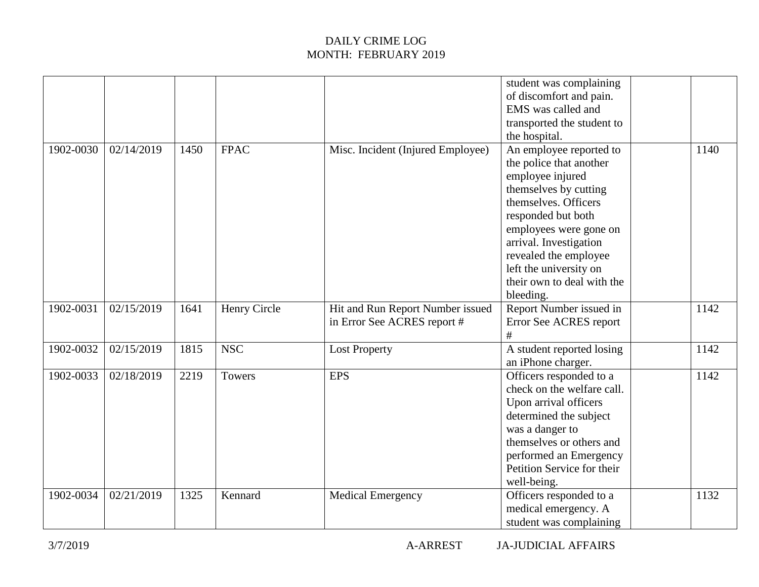|           |            |      |              |                                                                 | student was complaining<br>of discomfort and pain.<br>EMS was called and<br>transported the student to<br>the hospital.                                                                                                                                                                         |      |
|-----------|------------|------|--------------|-----------------------------------------------------------------|-------------------------------------------------------------------------------------------------------------------------------------------------------------------------------------------------------------------------------------------------------------------------------------------------|------|
| 1902-0030 | 02/14/2019 | 1450 | <b>FPAC</b>  | Misc. Incident (Injured Employee)                               | An employee reported to<br>the police that another<br>employee injured<br>themselves by cutting<br>themselves. Officers<br>responded but both<br>employees were gone on<br>arrival. Investigation<br>revealed the employee<br>left the university on<br>their own to deal with the<br>bleeding. | 1140 |
| 1902-0031 | 02/15/2019 | 1641 | Henry Circle | Hit and Run Report Number issued<br>in Error See ACRES report # | Report Number issued in<br>Error See ACRES report<br>#                                                                                                                                                                                                                                          | 1142 |
| 1902-0032 | 02/15/2019 | 1815 | <b>NSC</b>   | <b>Lost Property</b>                                            | A student reported losing<br>an iPhone charger.                                                                                                                                                                                                                                                 | 1142 |
| 1902-0033 | 02/18/2019 | 2219 | Towers       | <b>EPS</b>                                                      | Officers responded to a<br>check on the welfare call.<br>Upon arrival officers<br>determined the subject<br>was a danger to<br>themselves or others and<br>performed an Emergency<br>Petition Service for their<br>well-being.                                                                  | 1142 |
| 1902-0034 | 02/21/2019 | 1325 | Kennard      | <b>Medical Emergency</b>                                        | Officers responded to a<br>medical emergency. A<br>student was complaining                                                                                                                                                                                                                      | 1132 |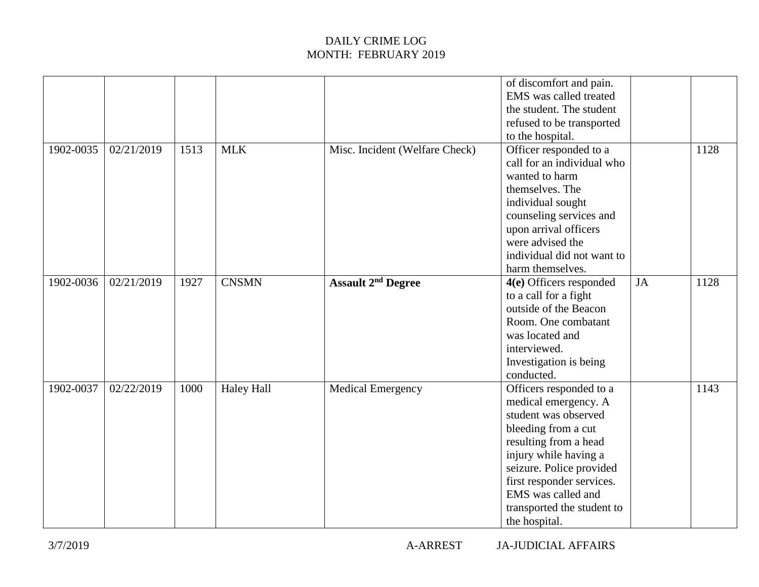|           |            |      |                   |                                      | of discomfort and pain.<br>EMS was called treated<br>the student. The student<br>refused to be transported<br>to the hospital.                                                                                                                                                 |    |      |
|-----------|------------|------|-------------------|--------------------------------------|--------------------------------------------------------------------------------------------------------------------------------------------------------------------------------------------------------------------------------------------------------------------------------|----|------|
| 1902-0035 | 02/21/2019 | 1513 | <b>MLK</b>        | Misc. Incident (Welfare Check)       | Officer responded to a<br>call for an individual who<br>wanted to harm<br>themselves. The<br>individual sought<br>counseling services and<br>upon arrival officers<br>were advised the<br>individual did not want to<br>harm themselves.                                       |    | 1128 |
| 1902-0036 | 02/21/2019 | 1927 | <b>CNSMN</b>      | <b>Assault 2<sup>nd</sup> Degree</b> | 4(e) Officers responded<br>to a call for a fight<br>outside of the Beacon<br>Room. One combatant<br>was located and<br>interviewed.<br>Investigation is being<br>conducted.                                                                                                    | JA | 1128 |
| 1902-0037 | 02/22/2019 | 1000 | <b>Haley Hall</b> | Medical Emergency                    | Officers responded to a<br>medical emergency. A<br>student was observed<br>bleeding from a cut<br>resulting from a head<br>injury while having a<br>seizure. Police provided<br>first responder services.<br>EMS was called and<br>transported the student to<br>the hospital. |    | 1143 |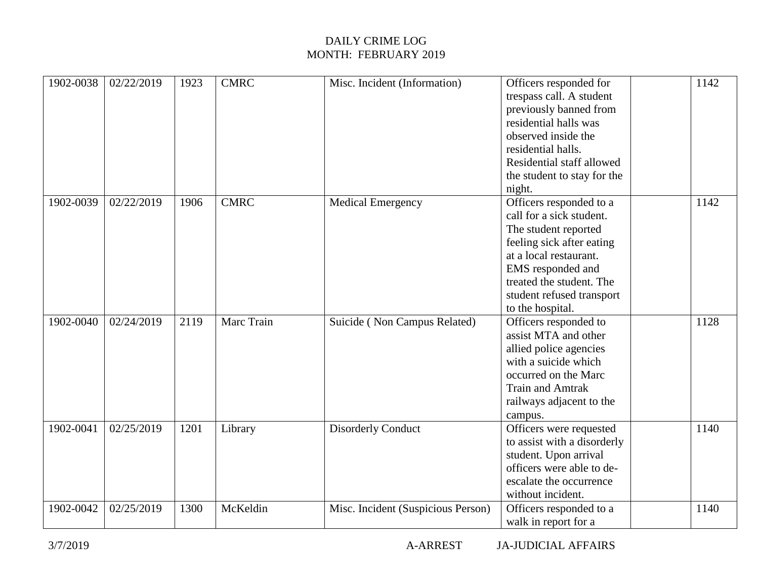| 1902-0038 | 02/22/2019 | 1923 | <b>CMRC</b> | Misc. Incident (Information)       | Officers responded for<br>trespass call. A student<br>previously banned from<br>residential halls was<br>observed inside the<br>residential halls.<br>Residential staff allowed<br>the student to stay for the<br>night.             | 1142 |
|-----------|------------|------|-------------|------------------------------------|--------------------------------------------------------------------------------------------------------------------------------------------------------------------------------------------------------------------------------------|------|
| 1902-0039 | 02/22/2019 | 1906 | <b>CMRC</b> | <b>Medical Emergency</b>           | Officers responded to a<br>call for a sick student.<br>The student reported<br>feeling sick after eating<br>at a local restaurant.<br>EMS responded and<br>treated the student. The<br>student refused transport<br>to the hospital. | 1142 |
| 1902-0040 | 02/24/2019 | 2119 | Marc Train  | Suicide (Non Campus Related)       | Officers responded to<br>assist MTA and other<br>allied police agencies<br>with a suicide which<br>occurred on the Marc<br><b>Train and Amtrak</b><br>railways adjacent to the<br>campus.                                            | 1128 |
| 1902-0041 | 02/25/2019 | 1201 | Library     | <b>Disorderly Conduct</b>          | Officers were requested<br>to assist with a disorderly<br>student. Upon arrival<br>officers were able to de-<br>escalate the occurrence<br>without incident.                                                                         | 1140 |
| 1902-0042 | 02/25/2019 | 1300 | McKeldin    | Misc. Incident (Suspicious Person) | Officers responded to a<br>walk in report for a                                                                                                                                                                                      | 1140 |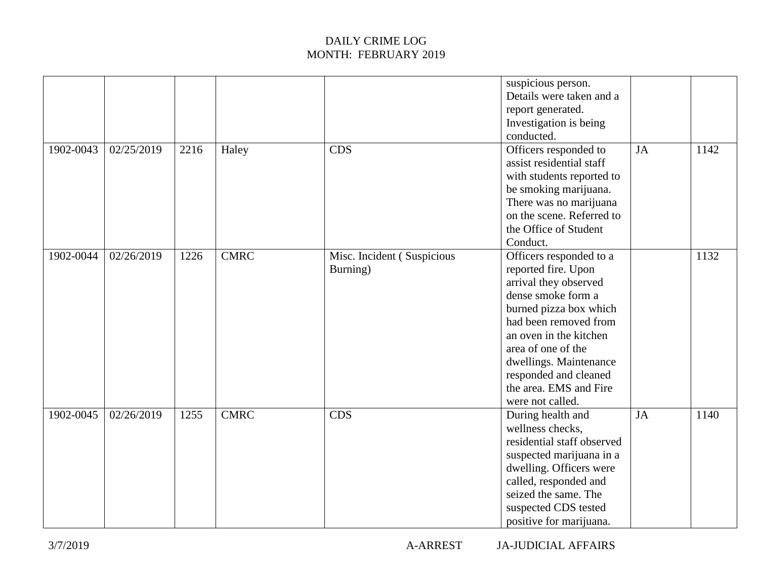|           |            |      |             |                                        | suspicious person.<br>Details were taken and a<br>report generated.<br>Investigation is being<br>conducted.                                                                                                                                                                                       |           |      |
|-----------|------------|------|-------------|----------------------------------------|---------------------------------------------------------------------------------------------------------------------------------------------------------------------------------------------------------------------------------------------------------------------------------------------------|-----------|------|
| 1902-0043 | 02/25/2019 | 2216 | Haley       | <b>CDS</b>                             | Officers responded to<br>assist residential staff<br>with students reported to<br>be smoking marijuana.<br>There was no marijuana<br>on the scene. Referred to<br>the Office of Student<br>Conduct.                                                                                               | <b>JA</b> | 1142 |
| 1902-0044 | 02/26/2019 | 1226 | <b>CMRC</b> | Misc. Incident (Suspicious<br>Burning) | Officers responded to a<br>reported fire. Upon<br>arrival they observed<br>dense smoke form a<br>burned pizza box which<br>had been removed from<br>an oven in the kitchen<br>area of one of the<br>dwellings. Maintenance<br>responded and cleaned<br>the area. EMS and Fire<br>were not called. |           | 1132 |
| 1902-0045 | 02/26/2019 | 1255 | <b>CMRC</b> | <b>CDS</b>                             | During health and<br>wellness checks,<br>residential staff observed<br>suspected marijuana in a<br>dwelling. Officers were<br>called, responded and<br>seized the same. The<br>suspected CDS tested<br>positive for marijuana.                                                                    | <b>JA</b> | 1140 |

3/7/2019 A-ARREST JA-JUDICIAL AFFAIRS